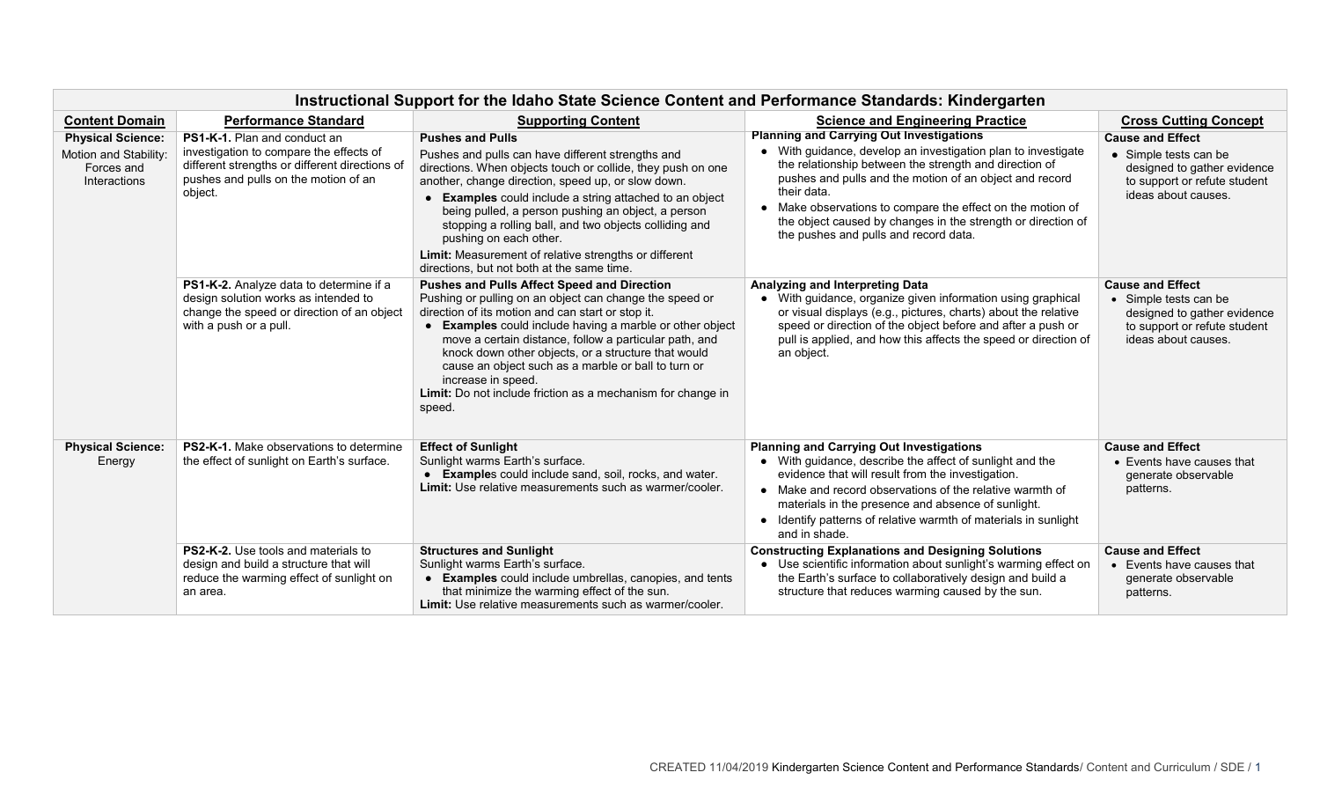| Instructional Support for the Idaho State Science Content and Performance Standards: Kindergarten |                                                                                                                                                                                     |                                                                                                                                                                                                                                                                                                                                                                                                                                                                                                                         |                                                                                                                                                                                                                                                                                                                                                                                                                             |                                                                                                                                        |  |  |  |  |
|---------------------------------------------------------------------------------------------------|-------------------------------------------------------------------------------------------------------------------------------------------------------------------------------------|-------------------------------------------------------------------------------------------------------------------------------------------------------------------------------------------------------------------------------------------------------------------------------------------------------------------------------------------------------------------------------------------------------------------------------------------------------------------------------------------------------------------------|-----------------------------------------------------------------------------------------------------------------------------------------------------------------------------------------------------------------------------------------------------------------------------------------------------------------------------------------------------------------------------------------------------------------------------|----------------------------------------------------------------------------------------------------------------------------------------|--|--|--|--|
| <b>Content Domain</b>                                                                             | <b>Performance Standard</b>                                                                                                                                                         | <b>Supporting Content</b>                                                                                                                                                                                                                                                                                                                                                                                                                                                                                               | <b>Science and Engineering Practice</b>                                                                                                                                                                                                                                                                                                                                                                                     | <b>Cross Cutting Concept</b>                                                                                                           |  |  |  |  |
| <b>Physical Science:</b><br>Motion and Stability:<br>Forces and<br>Interactions                   | <b>PS1-K-1.</b> Plan and conduct an<br>investigation to compare the effects of<br>different strengths or different directions of<br>pushes and pulls on the motion of an<br>object. | <b>Pushes and Pulls</b><br>Pushes and pulls can have different strengths and<br>directions. When objects touch or collide, they push on one<br>another, change direction, speed up, or slow down.<br><b>Examples</b> could include a string attached to an object<br>being pulled, a person pushing an object, a person<br>stopping a rolling ball, and two objects colliding and<br>pushing on each other.<br>Limit: Measurement of relative strengths or different<br>directions, but not both at the same time.      | <b>Planning and Carrying Out Investigations</b><br>• With guidance, develop an investigation plan to investigate<br>the relationship between the strength and direction of<br>pushes and pulls and the motion of an object and record<br>their data.<br>• Make observations to compare the effect on the motion of<br>the object caused by changes in the strength or direction of<br>the pushes and pulls and record data. | <b>Cause and Effect</b><br>• Simple tests can be<br>designed to gather evidence<br>to support or refute student<br>ideas about causes. |  |  |  |  |
|                                                                                                   | PS1-K-2. Analyze data to determine if a<br>design solution works as intended to<br>change the speed or direction of an object<br>with a push or a pull.                             | <b>Pushes and Pulls Affect Speed and Direction</b><br>Pushing or pulling on an object can change the speed or<br>direction of its motion and can start or stop it.<br><b>Examples</b> could include having a marble or other object<br>$\bullet$<br>move a certain distance, follow a particular path, and<br>knock down other objects, or a structure that would<br>cause an object such as a marble or ball to turn or<br>increase in speed.<br>Limit: Do not include friction as a mechanism for change in<br>speed. | Analyzing and Interpreting Data<br>• With guidance, organize given information using graphical<br>or visual displays (e.g., pictures, charts) about the relative<br>speed or direction of the object before and after a push or<br>pull is applied, and how this affects the speed or direction of<br>an object.                                                                                                            | <b>Cause and Effect</b><br>• Simple tests can be<br>designed to gather evidence<br>to support or refute student<br>ideas about causes. |  |  |  |  |
| <b>Physical Science:</b><br>Energy                                                                | <b>PS2-K-1.</b> Make observations to determine<br>the effect of sunlight on Earth's surface.                                                                                        | <b>Effect of Sunlight</b><br>Sunlight warms Earth's surface.<br>• Examples could include sand, soil, rocks, and water.<br>Limit: Use relative measurements such as warmer/cooler.                                                                                                                                                                                                                                                                                                                                       | <b>Planning and Carrying Out Investigations</b><br>• With guidance, describe the affect of sunlight and the<br>evidence that will result from the investigation.<br>• Make and record observations of the relative warmth of<br>materials in the presence and absence of sunlight.<br>• Identify patterns of relative warmth of materials in sunlight<br>and in shade.                                                      | <b>Cause and Effect</b><br>• Events have causes that<br>generate observable<br>patterns.                                               |  |  |  |  |
|                                                                                                   | PS2-K-2. Use tools and materials to<br>design and build a structure that will<br>reduce the warming effect of sunlight on<br>an area.                                               | <b>Structures and Sunlight</b><br>Sunlight warms Earth's surface.<br>• Examples could include umbrellas, canopies, and tents<br>that minimize the warming effect of the sun.<br>Limit: Use relative measurements such as warmer/cooler.                                                                                                                                                                                                                                                                                 | <b>Constructing Explanations and Designing Solutions</b><br>• Use scientific information about sunlight's warming effect on<br>the Earth's surface to collaboratively design and build a<br>structure that reduces warming caused by the sun.                                                                                                                                                                               | <b>Cause and Effect</b><br>• Events have causes that<br>generate observable<br>patterns.                                               |  |  |  |  |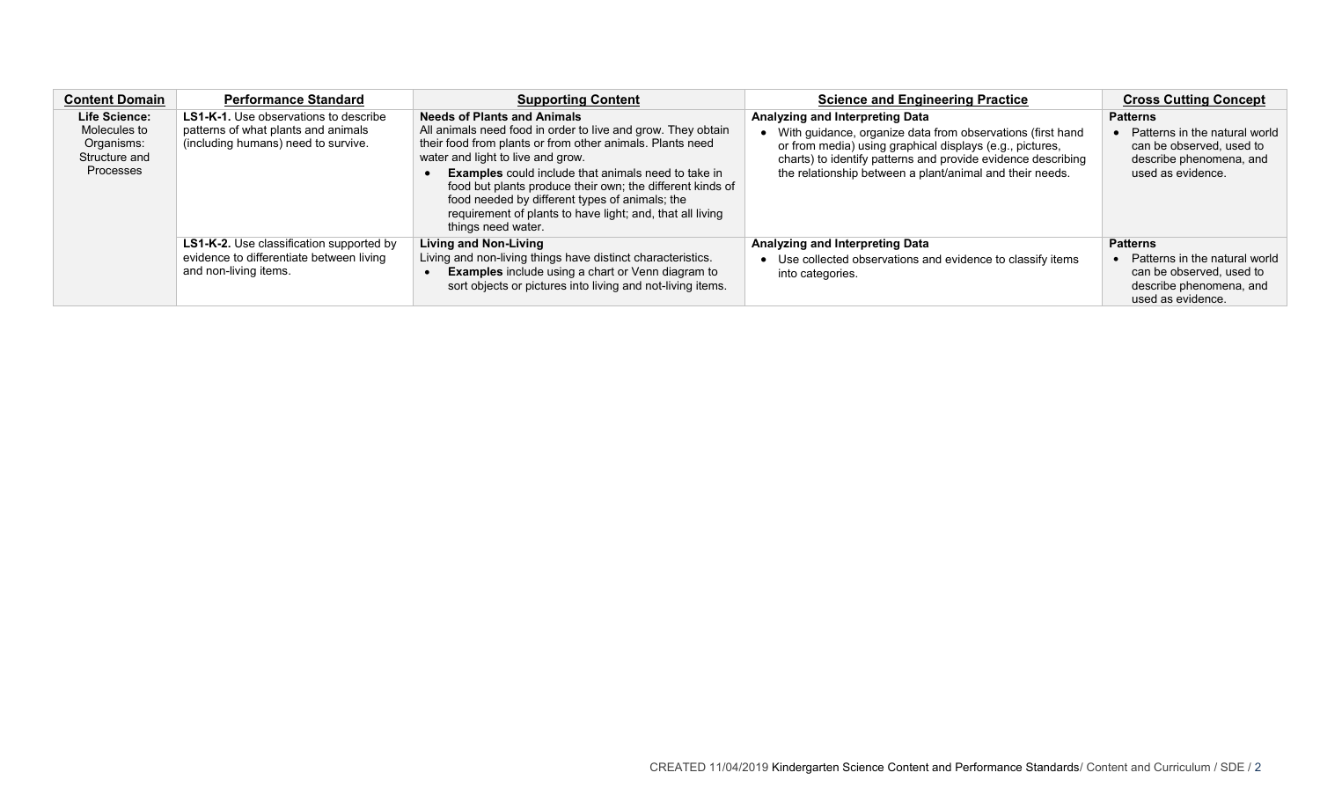| <b>Content Domain</b>                                                                   | <b>Performance Standard</b>                                                                                                | <b>Supporting Content</b>                                                                                                                                                                                                                                                                                                                                                                                                                                            | <b>Science and Engineering Practice</b>                                                                                                                                                                                                                                                 | <b>Cross Cutting Concept</b>                                                                                                              |
|-----------------------------------------------------------------------------------------|----------------------------------------------------------------------------------------------------------------------------|----------------------------------------------------------------------------------------------------------------------------------------------------------------------------------------------------------------------------------------------------------------------------------------------------------------------------------------------------------------------------------------------------------------------------------------------------------------------|-----------------------------------------------------------------------------------------------------------------------------------------------------------------------------------------------------------------------------------------------------------------------------------------|-------------------------------------------------------------------------------------------------------------------------------------------|
| <b>Life Science:</b><br>Molecules to<br>Organisms:<br>Structure and<br><b>Processes</b> | <b>LS1-K-1.</b> Use observations to describe<br>patterns of what plants and animals<br>(including humans) need to survive. | <b>Needs of Plants and Animals</b><br>All animals need food in order to live and grow. They obtain<br>their food from plants or from other animals. Plants need<br>water and light to live and grow.<br><b>Examples</b> could include that animals need to take in<br>food but plants produce their own; the different kinds of<br>food needed by different types of animals; the<br>requirement of plants to have light; and, that all living<br>things need water. | Analyzing and Interpreting Data<br>• With guidance, organize data from observations (first hand<br>or from media) using graphical displays (e.g., pictures,<br>charts) to identify patterns and provide evidence describing<br>the relationship between a plant/animal and their needs. | <b>Patterns</b><br>Patterns in the natural world<br>$\bullet$<br>can be observed, used to<br>describe phenomena, and<br>used as evidence. |
|                                                                                         | <b>LS1-K-2.</b> Use classification supported by<br>evidence to differentiate between living<br>and non-living items.       | <b>Living and Non-Living</b><br>Living and non-living things have distinct characteristics.<br><b>Examples</b> include using a chart or Venn diagram to<br>sort objects or pictures into living and not-living items.                                                                                                                                                                                                                                                | Analyzing and Interpreting Data<br>Use collected observations and evidence to classify items<br>into categories.                                                                                                                                                                        | <b>Patterns</b><br>Patterns in the natural world<br>can be observed, used to<br>describe phenomena, and<br>used as evidence.              |